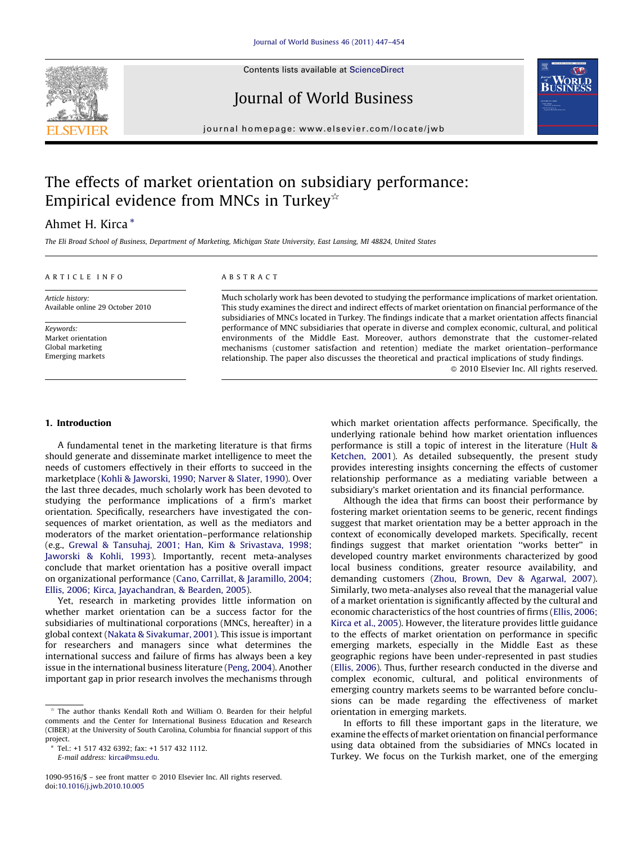

Contents lists available at [ScienceDirect](http://www.sciencedirect.com/science/journal/10909516)

## Journal of World Business



journal homepage: www.elsevier.com/locate/jwb

## The effects of market orientation on subsidiary performance: Empirical evidence from MNCs in Turkey<sup> $\star$ </sup>

### Ahmet H. Kirca \*

The Eli Broad School of Business, Department of Marketing, Michigan State University, East Lansing, MI 48824, United States

#### A R T I C L E I N F O

Article history: Available online 29 October 2010

Keywords: Market orientation Global marketing Emerging markets

#### A B S T R A C T

Much scholarly work has been devoted to studying the performance implications of market orientation. This study examines the direct and indirect effects of market orientation on financial performance of the subsidiaries of MNCs located in Turkey. The findings indicate that a market orientation affects financial performance of MNC subsidiaries that operate in diverse and complex economic, cultural, and political environments of the Middle East. Moreover, authors demonstrate that the customer-related mechanisms (customer satisfaction and retention) mediate the market orientation–performance relationship. The paper also discusses the theoretical and practical implications of study findings.  $\odot$  2010 Elsevier Inc. All rights reserved.

#### 1. Introduction

A fundamental tenet in the marketing literature is that firms should generate and disseminate market intelligence to meet the needs of customers effectively in their efforts to succeed in the marketplace (Kohli & [Jaworski,](#page--1-0) 1990; Narver & Slater, 1990). Over the last three decades, much scholarly work has been devoted to studying the performance implications of a firm's market orientation. Specifically, researchers have investigated the consequences of market orientation, as well as the mediators and moderators of the market orientation–performance relationship (e.g., Grewal & Tansuhaj, 2001; Han, Kim & [Srivastava,](#page--1-0) 1998; [Jaworski](#page--1-0) & Kohli, 1993). Importantly, recent meta-analyses conclude that market orientation has a positive overall impact on organizational performance (Cano, Carrillat, & [Jaramillo,](#page--1-0) 2004; Ellis, 2006; Kirca, [Jayachandran,](#page--1-0) & Bearden, 2005).

Yet, research in marketing provides little information on whether market orientation can be a success factor for the subsidiaries of multinational corporations (MNCs, hereafter) in a global context (Nakata & [Sivakumar,](#page--1-0) 2001). This issue is important for researchers and managers since what determines the international success and failure of firms has always been a key issue in the international business literature [\(Peng,](#page--1-0) 2004). Another important gap in prior research involves the mechanisms through

which market orientation affects performance. Specifically, the underlying rationale behind how market orientation influences performance is still a topic of interest in the literature [\(Hult](#page--1-0) & [Ketchen,](#page--1-0) 2001). As detailed subsequently, the present study provides interesting insights concerning the effects of customer relationship performance as a mediating variable between a subsidiary's market orientation and its financial performance.

Although the idea that firms can boost their performance by fostering market orientation seems to be generic, recent findings suggest that market orientation may be a better approach in the context of economically developed markets. Specifically, recent findings suggest that market orientation ''works better'' in developed country market environments characterized by good local business conditions, greater resource availability, and demanding customers (Zhou, Brown, Dev & [Agarwal,](#page--1-0) 2007). Similarly, two meta-analyses also reveal that the managerial value of a market orientation is significantly affected by the cultural and economic characteristics of the host countries of firms (Ellis, [2006;](#page--1-0) Kirca et al., [2005\)](#page--1-0). However, the literature provides little guidance to the effects of market orientation on performance in specific emerging markets, especially in the Middle East as these geographic regions have been under-represented in past studies (Ellis, [2006](#page--1-0)). Thus, further research conducted in the diverse and complex economic, cultural, and political environments of emerging country markets seems to be warranted before conclusions can be made regarding the effectiveness of market orientation in emerging markets.

In efforts to fill these important gaps in the literature, we examine the effects of market orientation on financial performance using data obtained from the subsidiaries of MNCs located in Turkey. We focus on the Turkish market, one of the emerging

 $\dot{\phi}$  The author thanks Kendall Roth and William O. Bearden for their helpful comments and the Center for International Business Education and Research (CIBER) at the University of South Carolina, Columbia for financial support of this project.

Tel.: +1 517 432 6392; fax: +1 517 432 1112. E-mail address: [kirca@msu.edu](mailto:kirca@msu.edu).

<sup>1090-9516/\$ -</sup> see front matter @ 2010 Elsevier Inc. All rights reserved. doi:[10.1016/j.jwb.2010.10.005](http://dx.doi.org/10.1016/j.jwb.2010.10.005)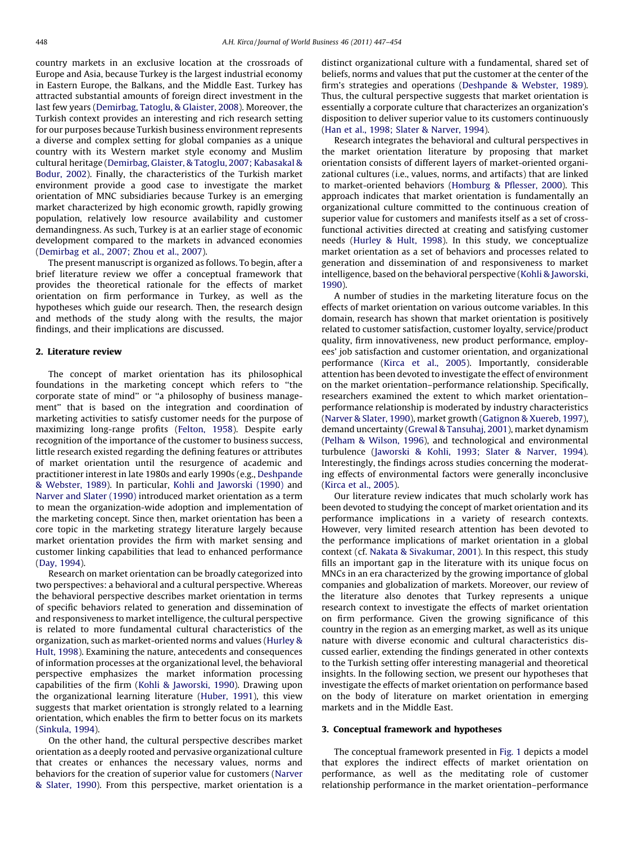country markets in an exclusive location at the crossroads of Europe and Asia, because Turkey is the largest industrial economy in Eastern Europe, the Balkans, and the Middle East. Turkey has attracted substantial amounts of foreign direct investment in the last few years ([Demirbag,](#page--1-0) Tatoglu, & Glaister, 2008). Moreover, the Turkish context provides an interesting and rich research setting for our purposes because Turkish business environment represents a diverse and complex setting for global companies as a unique country with its Western market style economy and Muslim cultural heritage [\(Demirbag,](#page--1-0) Glaister, & Tatoglu, 2007; Kabasakal & [Bodur,](#page--1-0) 2002). Finally, the characteristics of the Turkish market environment provide a good case to investigate the market orientation of MNC subsidiaries because Turkey is an emerging market characterized by high economic growth, rapidly growing population, relatively low resource availability and customer demandingness. As such, Turkey is at an earlier stage of economic development compared to the markets in advanced economies ([Demirbag](#page--1-0) et al., 2007; Zhou et al., 2007).

The present manuscript is organized as follows. To begin, after a brief literature review we offer a conceptual framework that provides the theoretical rationale for the effects of market orientation on firm performance in Turkey, as well as the hypotheses which guide our research. Then, the research design and methods of the study along with the results, the major findings, and their implications are discussed.

#### 2. Literature review

The concept of market orientation has its philosophical foundations in the marketing concept which refers to ''the corporate state of mind'' or ''a philosophy of business management'' that is based on the integration and coordination of marketing activities to satisfy customer needs for the purpose of maximizing long-range profits ([Felton,](#page--1-0) 1958). Despite early recognition of the importance of the customer to business success, little research existed regarding the defining features or attributes of market orientation until the resurgence of academic and practitioner interest in late 1980s and early 1990s (e.g., [Deshpande](#page--1-0) & [Webster,](#page--1-0) 1989). In particular, Kohli and [Jaworski](#page--1-0) (1990) and [Narver](#page--1-0) and Slater (1990) introduced market orientation as a term to mean the organization-wide adoption and implementation of the marketing concept. Since then, market orientation has been a core topic in the marketing strategy literature largely because market orientation provides the firm with market sensing and customer linking capabilities that lead to enhanced performance (Day, [1994\)](#page--1-0).

Research on market orientation can be broadly categorized into two perspectives: a behavioral and a cultural perspective. Whereas the behavioral perspective describes market orientation in terms of specific behaviors related to generation and dissemination of and responsiveness to market intelligence, the cultural perspective is related to more fundamental cultural characteristics of the organization, such as market-oriented norms and values [\(Hurley](#page--1-0) & Hult, [1998\)](#page--1-0). Examining the nature, antecedents and consequences of information processes at the organizational level, the behavioral perspective emphasizes the market information processing capabilities of the firm (Kohli & [Jaworski,](#page--1-0) 1990). Drawing upon the organizational learning literature [\(Huber,](#page--1-0) 1991), this view suggests that market orientation is strongly related to a learning orientation, which enables the firm to better focus on its markets ([Sinkula,](#page--1-0) 1994).

On the other hand, the cultural perspective describes market orientation as a deeply rooted and pervasive organizational culture that creates or enhances the necessary values, norms and behaviors for the creation of superior value for customers ([Narver](#page--1-0) & [Slater,](#page--1-0) 1990). From this perspective, market orientation is a distinct organizational culture with a fundamental, shared set of beliefs, norms and values that put the customer at the center of the firm's strategies and operations [\(Deshpande](#page--1-0) & Webster, 1989). Thus, the cultural perspective suggests that market orientation is essentially a corporate culture that characterizes an organization's disposition to deliver superior value to its customers continuously (Han et al., 1998; Slater & [Narver,](#page--1-0) 1994).

Research integrates the behavioral and cultural perspectives in the market orientation literature by proposing that market orientation consists of different layers of market-oriented organizational cultures (i.e., values, norms, and artifacts) that are linked to market-oriented behaviors [\(Homburg](#page--1-0) & Pflesser, 2000). This approach indicates that market orientation is fundamentally an organizational culture committed to the continuous creation of superior value for customers and manifests itself as a set of crossfunctional activities directed at creating and satisfying customer needs ([Hurley](#page--1-0) & Hult, 1998). In this study, we conceptualize market orientation as a set of behaviors and processes related to generation and dissemination of and responsiveness to market intelligence, based on the behavioral perspective (Kohli & [Jaworski,](#page--1-0) [1990\)](#page--1-0).

A number of studies in the marketing literature focus on the effects of market orientation on various outcome variables. In this domain, research has shown that market orientation is positively related to customer satisfaction, customer loyalty, service/product quality, firm innovativeness, new product performance, employees' job satisfaction and customer orientation, and organizational performance [\(Kirca](#page--1-0) et al., 2005). Importantly, considerable attention has been devoted to investigate the effect of environment on the market orientation–performance relationship. Specifically, researchers examined the extent to which market orientation– performance relationship is moderated by industry characteristics ([Narver](#page--1-0) & Slater, 1990), market growth [\(Gatignon](#page--1-0) & Xuereb, 1997), demand uncertainty (Grewal & [Tansuhaj,](#page--1-0) 2001), market dynamism (Pelham & [Wilson,](#page--1-0) 1996), and technological and environmental turbulence ([Jaworski](#page--1-0) & Kohli, 1993; Slater & Narver, 1994). Interestingly, the findings across studies concerning the moderating effects of environmental factors were generally inconclusive (Kirca et al., [2005\)](#page--1-0).

Our literature review indicates that much scholarly work has been devoted to studying the concept of market orientation and its performance implications in a variety of research contexts. However, very limited research attention has been devoted to the performance implications of market orientation in a global context (cf. Nakata & [Sivakumar,](#page--1-0) 2001). In this respect, this study fills an important gap in the literature with its unique focus on MNCs in an era characterized by the growing importance of global companies and globalization of markets. Moreover, our review of the literature also denotes that Turkey represents a unique research context to investigate the effects of market orientation on firm performance. Given the growing significance of this country in the region as an emerging market, as well as its unique nature with diverse economic and cultural characteristics discussed earlier, extending the findings generated in other contexts to the Turkish setting offer interesting managerial and theoretical insights. In the following section, we present our hypotheses that investigate the effects of market orientation on performance based on the body of literature on market orientation in emerging markets and in the Middle East.

#### 3. Conceptual framework and hypotheses

The conceptual framework presented in [Fig.](#page--1-0) 1 depicts a model that explores the indirect effects of market orientation on performance, as well as the meditating role of customer relationship performance in the market orientation–performance